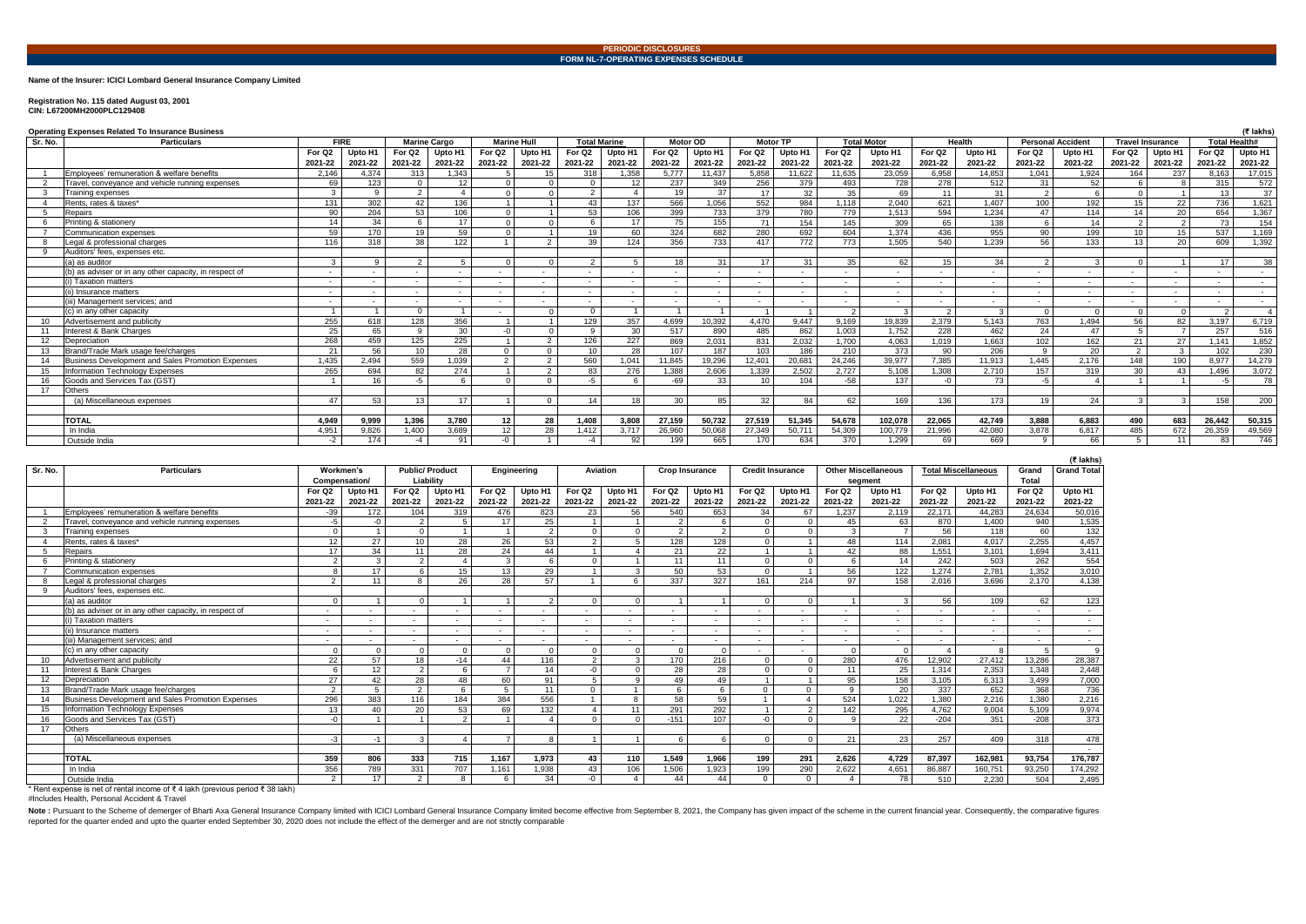# **Name of the Insurer: ICICI Lombard General Insurance Company Limited**

### **Registration No. 115 dated August 03, 2001 CIN: L67200MH2000PLC129408**

| <b>Operating Expenses Related To Insurance Business</b> |                                                        |                          |          |                     |                          |                    |               |                          |                          |                 |                          |                 |                          | (₹ lakhs)                |                    |                          |         |                          |         |                         |                     |                      |         |
|---------------------------------------------------------|--------------------------------------------------------|--------------------------|----------|---------------------|--------------------------|--------------------|---------------|--------------------------|--------------------------|-----------------|--------------------------|-----------------|--------------------------|--------------------------|--------------------|--------------------------|---------|--------------------------|---------|-------------------------|---------------------|----------------------|---------|
| Sr. No.                                                 | <b>Particulars</b>                                     | <b>FIRE</b>              |          | <b>Marine Cargo</b> |                          | <b>Marine Hull</b> |               | <b>Total Marine</b>      |                          | <b>Motor OD</b> |                          |                 | <b>Motor TP</b>          |                          | <b>Total Motor</b> | Health                   |         | <b>Personal Accident</b> |         | <b>Travel Insurance</b> |                     | <b>Total Health#</b> |         |
|                                                         |                                                        | For Q <sub>2</sub>       | Upto H1  | For Q2              | Upto H1                  | For Q2             | Upto H1       | For Q2                   | Upto H1                  | For Q2          | Upto H1                  | For Q2          | Upto H1                  | For Q2                   | Upto H1            | For Q <sub>2</sub>       | Upto H1 | For Q <sub>2</sub>       | Upto H1 | For Q2                  | Upto H <sub>1</sub> | For Q2               | Upto H1 |
|                                                         |                                                        | 2021-22                  | 2021-22  | 2021-22             | 2021-22                  | 2021-22            | 2021-22       | 2021-22                  | 2021-22                  | 2021-22         | 2021-22                  | 2021-22         | 2021-22                  | 2021-22                  | 2021-22            | 2021-22                  | 2021-22 | 2021-22                  | 2021-22 | 2021-22                 | 2021-22             | 2021-22              | 2021-22 |
|                                                         | Employees' remuneration & welfare benefits             | 2.146                    | 4.374    | 313                 | 1.343                    |                    | 15            | 318                      | ,358                     | 5.777           | 11.437                   | 5,858           | 11,622                   | 11,635                   | 23,059             | 6.958                    | 14.853  | 1.041                    | 1,924   | 164                     | 237                 | 8,163                | 17,015  |
|                                                         | Travel, conveyance and vehicle running expenses        | 69                       | 123      | $\Omega$            | 12                       |                    |               |                          | 12                       | 237             | 349                      | 256             | 379                      | 493                      | 728                | 278                      | 512     | 31                       | 52      |                         | -8                  | 315                  | 572     |
|                                                         | <b>Training expenses</b>                               | $\mathbf{3}$             | $\Omega$ | 2                   | $\overline{A}$           |                    | $\Omega$      | $\sim$                   | $\overline{4}$           | 19              | 37                       | 17              | 32                       | 35                       | 69                 | 11                       | 31      | $\Omega$                 |         | $\Omega$                |                     | 13                   | 37      |
|                                                         | Rents, rates & taxes*                                  | 131                      | 302      | 42                  | 136                      |                    |               | 43                       | 137                      | 566             | 1.056                    | 552             | 984                      | 1.118                    | 2.040              | 621                      | 1.407   | 100                      | 192     | 15                      | 22                  | 736                  | 1,621   |
|                                                         | Repairs                                                | 90                       | 204      | 53                  | 106                      |                    |               | 53                       | 106                      | 399             | 733                      | 379             | 780                      | 779                      | 1,513              | 594                      | 1,234   | 47                       | 114     | 14                      | 20                  | 654                  | 1,367   |
|                                                         | Printing & stationery                                  | 14                       | 34       | 6                   | 17 <sup>1</sup>          |                    |               |                          | 17                       | 75              | 155                      | 71              | 154                      | 145                      | 309                | 65                       | 138     |                          | 14      | $\overline{2}$          | $\overline{2}$      | 73                   | 154     |
|                                                         | <b>Communication expenses</b>                          | 59                       | 170      | 19                  | 59                       |                    |               | 19                       | 60                       | 324             | 682                      | 280             | 692                      | 604                      | 1,374              | 436                      | 955     | 90                       | 199     | 10                      | 15                  | 537                  | 1,169   |
|                                                         | Legal & professional charges                           | 116                      | 318      | 38                  | 122                      |                    | $\Omega$      | 39                       | 124                      | 356             | 733                      | 417             | 772                      | 773                      | 1.505              | 540                      | 1.239   | 56                       | 133     | 13                      | 20                  | 609                  | 1,392   |
|                                                         | Auditors' fees, expenses etc.                          |                          |          |                     |                          |                    |               |                          |                          |                 |                          |                 |                          |                          |                    |                          |         |                          |         |                         |                     |                      |         |
|                                                         | (a) as auditor                                         | $\mathbf{3}$             | $\Omega$ | 2                   | $5^{\circ}$              |                    | $\Omega$      |                          | $5^{\circ}$              | 18              | 31                       | 17              | 31                       | 35                       | 62                 | 15                       | 34      | $\Omega$                 |         | $\Omega$                |                     | 17                   | 38      |
|                                                         | (b) as adviser or in any other capacity, in respect of | $\sim$                   |          | $\sim$              | $\sim$                   | $\sim$             | $\sim$        |                          | $\overline{\phantom{a}}$ |                 | $\sim$                   |                 | $\overline{\phantom{a}}$ | $\overline{\phantom{0}}$ | $\sim$             |                          |         |                          |         | $\sim$                  |                     | $\sim$               | $\sim$  |
|                                                         | (i) Taxation matters                                   | $\overline{\phantom{a}}$ |          | $\sim$              | $\sim$                   | $\sim$             | $\sim$        | $\overline{\phantom{a}}$ | $\sim$                   |                 | $\overline{\phantom{a}}$ |                 | $\overline{\phantom{a}}$ | $\sim$                   | $\sim$             | $\overline{\phantom{0}}$ |         |                          | $\sim$  | $\sim$                  | $\sim$              | $\sim$               | $\sim$  |
|                                                         | (ii) Insurance matters                                 | $\sim$                   |          | $\sim$              | $\overline{\phantom{a}}$ | $\sim$             | $\sim$        | $\sim$                   | $\overline{\phantom{a}}$ |                 | $\sim$ $-$               |                 | $\sim$                   | $\sim$                   | $\sim$             | $\overline{\phantom{0}}$ | $\sim$  | $\sim$                   | $\sim$  | $\sim$                  | $\sim$              | $\sim$               | $\sim$  |
|                                                         | (iii) Management services: and                         | $\overline{\phantom{a}}$ |          | $\sim$              | $\sim$                   | $\sim$             | $\sim$        |                          |                          |                 | $\overline{\phantom{a}}$ |                 | $\overline{\phantom{a}}$ |                          | $\sim$             |                          |         |                          |         |                         |                     | $\sim$               | $\sim$  |
|                                                         | (c) in any other capacity                              |                          |          | $\Omega$            |                          |                    |               |                          | $\overline{1}$           |                 |                          |                 |                          | $\sim$                   | $\sim$             |                          |         |                          |         | $\cap$                  | $\Omega$            |                      |         |
| 10                                                      | Advertisement and publicity                            | 255                      | 618      | 128                 | 356                      |                    |               | 129                      | 357                      | 4,699           | 10,392                   | 4,470           | 9,447                    | 9,169                    | 19,839             | 2,379                    | 5,143   | 763                      | 1,494   | 56                      | 82                  | 3,197                | 6,719   |
|                                                         | Interest & Bank Charges                                | 25                       | 65,      | 9                   | 30                       |                    | $\Omega$      |                          | 30                       | 517             | 890                      | 485             | 862                      | 1.003                    | 1.752              | 228                      | 462     | 24                       | 47      | 5                       | $\overline{7}$      | 257                  | 516     |
| $12 \overline{ }$                                       | Depreciation                                           | 268                      | 459      | 125                 | 225                      |                    | 2             | 126                      | 227                      | 869             | 2,031                    | 831             | 2,032                    | 1,700                    | 4,063              | 1.019                    | 1,663   | 102                      | 162     | 21                      | 27                  | 1,141                | 1,852   |
|                                                         | Brand/Trade Mark usage fee/charges                     | 21                       | 56       | 10                  | $\overline{28}$          |                    | $\Omega$      | 10 <sup>1</sup>          | 28                       | 107             | 187                      | 103             | 186                      | 210                      | $\overline{373}$   | 90                       | 206     | $\Omega$                 | 20      | 2                       | $\mathbf{3}$        | 102                  | 230     |
| 14                                                      | Business Development and Sales Promotion Expenses      | 1.435                    | 2.494    | 559                 | 1.039                    | ີ                  | 2             | 560                      | 1.041                    | 11.845          | 19.296                   | 12.401          | 20,681                   | 24.246                   | 39.977             | 7.385                    | 11.913  | 1.445                    | 2,176   | 148                     | 190                 | 8.977                | 14,279  |
| 15                                                      | Information Technology Expenses                        | 265                      | 694      | 82                  | 274                      |                    | $\mathcal{P}$ | 83                       | 276                      | 1,388           | 2,606                    | 1,339           | 2,502                    | 2.727                    | 5.108              | 1.308                    | 2.710   | 157                      | 319     | 30                      | 43                  | 1.496                | 3,072   |
|                                                         | Goods and Services Tax (GST)                           |                          | 16       | $-5$                | -6                       |                    | $\Omega$      | $-5$                     |                          | -69             | 33                       | 10 <sup>1</sup> | 104                      | $-58$                    | 137                | $-\Omega$                | 73      | -5                       |         |                         |                     |                      | 78      |
| 17                                                      | Others                                                 |                          |          |                     |                          |                    |               |                          |                          |                 |                          |                 |                          |                          |                    |                          |         |                          |         |                         |                     |                      |         |
|                                                         | (a) Miscellaneous expenses                             | 47                       | 53       | 13                  | 17                       |                    | $\Omega$      | 14                       | 18                       | 30              | 85                       | 32              | 84                       | 62                       | 169                | 136                      | 173     | 19                       | 24      | $\mathcal{R}$           | $\mathcal{R}$       | 158                  | 200     |
|                                                         |                                                        |                          |          |                     |                          |                    |               |                          |                          |                 |                          |                 |                          |                          |                    |                          |         |                          |         |                         |                     |                      |         |
|                                                         | <b>TOTAL</b>                                           | 4.949                    | 9,999    | 1,396               | 3,780                    | 12                 | 28            | 1,408                    | 3,808                    | 27,159          | 50,732                   | 27,519          | 51,345                   | 54,678                   | 102,078            | 22,065                   | 42.749  | 3,888                    | 6,883   | 490                     | 683                 | 26.442               | 50,315  |
|                                                         | In India                                               | 4.951                    | 9.826    | 1,400               | 3.689                    | 12                 | 28            | 1.412                    | 3.717                    | 26.960          | 50.068                   | 27.349          | 50.711                   | 54.309                   | 100.779            | 21.996                   | 42,080  | 3.878                    | 6,817   | 485                     | 672                 | 26.359               | 49,569  |
|                                                         | Outside India                                          | $-2$                     | 174      | $-4$                | 91                       | $-0$               |               |                          | 92                       | 199             | 665                      | 170             | 634                      | 370                      | 1,299              | 69                       | 669     |                          | 66      | $5^{\circ}$             | 11                  | 83                   | 746     |

Note: Pursuant to the Scheme of demerger of Bharti Axa General Insurance Company limited with ICICI Lombard General Insurance Company limited become effective from September 8, 2021, the Company has given impact of the sch reported for the quarter ended and upto the quarter ended September 30, 2020 does not include the effect of the demerger and are not strictly comparable

|                   |                                                          |                    |               |                       |               |                    |               |                |                      |                       |                  |                         |                |                            |                          |                            |                          |                    | (₹ lakhs)          |
|-------------------|----------------------------------------------------------|--------------------|---------------|-----------------------|---------------|--------------------|---------------|----------------|----------------------|-----------------------|------------------|-------------------------|----------------|----------------------------|--------------------------|----------------------------|--------------------------|--------------------|--------------------|
| Sr. No.           | <b>Particulars</b>                                       | Workmen's          |               | <b>Public/Product</b> |               | Engineering        |               | Aviation       |                      | <b>Crop Insurance</b> |                  | <b>Credit Insurance</b> |                | <b>Other Miscellaneous</b> |                          | <b>Total Miscellaneous</b> |                          | Grand              | <b>Grand Total</b> |
|                   |                                                          |                    | Compensation/ |                       | Liability     |                    |               |                |                      |                       |                  |                         |                | segment                    |                          |                            |                          | Total              |                    |
|                   |                                                          | For Q <sub>2</sub> | Upto H1       | For Q2                | Upto H1       | For Q <sub>2</sub> | Upto H1       | For Q2         | Upto H1              | For Q2                | Upto H1          | For Q <sub>2</sub>      | Upto H1        | For Q <sub>2</sub>         | Upto H1                  | For Q2                     | Upto H1                  | For Q <sub>2</sub> | Upto H1            |
|                   |                                                          | 2021-22            | 2021-22       | 2021-22               | 2021-22       | 2021-22            | 2021-22       | 2021-22        | 2021-22              | 2021-22               | 2021-22          | 2021-22                 | 2021-22        | 2021-22                    | 2021-22                  | 2021-22                    | 2021-22                  | 2021-22            | 2021-22            |
|                   | Employees' remuneration & welfare benefits               | $-39$              | 172           | 104                   | 319           | 476                | 823           | 23             | 56                   | 540                   | 653              | 34                      | 67             | 1,237                      | 2.119                    | 22.171                     | 44.283                   | 24.634             | 50,016             |
| 2                 | Travel, conveyance and vehicle running expenses          | $-5$               | $-0$          | $\mathcal{P}$         |               | 17                 | 25            |                | $\blacktriangleleft$ | 2                     | 6                | $\Omega$                | $\Omega$       | 45                         | 63                       | 870                        | 1.400                    | 940                | 1,535              |
| 3                 | Training expenses                                        | $\Omega$           |               | $\Omega$              |               |                    | 2             | $\Omega$       | $\Omega$             | 2                     | 2 <sup>1</sup>   | $\Omega$                | $\Omega$       | $\mathbf{3}$               | $\overline{7}$           | 56                         | 118                      | 60                 | $\overline{132}$   |
|                   | Rents, rates & taxes*                                    | 12                 | 27            | 10                    | 28            | 26                 | 53            | 2              | 5                    | $\overline{128}$      | $\overline{128}$ | $\Omega$                |                | 48                         | 114                      | 2.081                      | 4.017                    | 2.255              | 4,457              |
| -5                | Repairs                                                  | 17                 | 34            | 11                    | 28            | 24                 | 44            |                |                      | 21                    | 22               |                         |                | 42                         | 88                       | 1,551                      | 3.101                    | 1.694              | 3,411              |
|                   | Printing & stationery                                    | $\mathcal{D}$      | 3             | 2                     |               | $\mathbf{3}$       | 6             | $\Omega$       | $\overline{1}$       | 11                    | 11               | $\Omega$                | $\Omega$       |                            | 14                       | 242                        | 503                      | 262                | 554                |
|                   | <b>Communication expenses</b>                            | $\Omega$           | 17            | 6                     | 15            | 13                 | 29            |                | 3                    | 50                    | 53               | $\Omega$                |                | 56                         | 122                      | 1,274                      | 2.781                    | 1,352              | 3,010              |
| -8                | Legal & professional charges                             | $\Omega$           | 11            | $\mathsf{R}$          | 26            | 28                 | 57            |                | 6                    | 337                   | $\overline{327}$ | 161                     | 214            | 97                         | 158                      | 2,016                      | 3.696                    | 2.170              | 4,138              |
| 9                 | Auditors' fees, expenses etc.                            |                    |               |                       |               |                    |               |                |                      |                       |                  |                         |                |                            |                          |                            |                          |                    |                    |
|                   | (a) as auditor                                           |                    |               | $\Omega$              |               |                    | $\mathcal{D}$ | $\Omega$       | $\Omega$             |                       |                  | $\Omega$                | $\Omega$       |                            |                          | 56                         | 109                      | 62                 | 123                |
|                   | (b) as adviser or in any other capacity, in respect of   |                    |               |                       |               |                    |               |                |                      |                       |                  |                         |                |                            | $\overline{\phantom{a}}$ | $\sim$                     | $\sim$                   | $\sim$             | $\sim$             |
|                   | (i) Taxation matters                                     |                    |               |                       |               |                    |               |                |                      |                       |                  |                         |                |                            | $\sim$                   | $\sim$                     | $\overline{\phantom{a}}$ | $\sim$             | $\sim$             |
|                   | (ii) Insurance matters                                   |                    |               |                       |               |                    |               |                |                      |                       |                  |                         |                |                            | $\sim$                   | $\sim$                     |                          | $\sim$             | $\sim$             |
|                   | (iii) Management services; and                           |                    |               |                       |               |                    |               |                |                      |                       |                  |                         |                |                            |                          |                            |                          |                    | $\overline{a}$     |
|                   | (c) in any other capacity                                | $\cap$             | $\Omega$      | $\Omega$              | $\Omega$      | $\Omega$           | $\Omega$      | $\Omega$       | $\Omega$             | $\Omega$              | $\Omega$         |                         |                | $\Omega$                   | $\Omega$                 |                            |                          | 5                  | 9                  |
| 10                | Advertisement and publicity                              | 22                 | 57            | 18                    | $-14$         | 44                 | 116           | 2              | $\mathbf{3}$         | 170                   | 216              | $\Omega$                | $\Omega$       | 280                        | 476                      | 12,902                     | 27.412                   | 13.286             | 28,387             |
| 11                | Interest & Bank Charges                                  |                    | 12            | 2                     | 6             | $\overline{7}$     | 14            | $-0$           | $\Omega$             | 28                    | 28               | $\Omega$                | $\Omega$       | 11                         | 25                       | 1,314                      | 2,353                    | 1.348              | 2,448              |
| $12 \overline{ }$ | Depreciation                                             | 27                 | 42            | 28                    | 48            | 60                 | 91            | 5              | 9                    | 49                    | 49               |                         |                | 95                         | 158                      | 3,105                      | 6,313                    | 3,499              | 7,000              |
| 13                | Brand/Trade Mark usage fee/charges                       | $\mathcal{P}$      | $5^{\circ}$   | 2                     | 6             | 5                  | 11            | $\overline{0}$ | $\overline{1}$       | 6                     | 6                | $\Omega$                | $\Omega$       | 9                          | 20                       | 337                        | 652                      | 368                | 736                |
| 14                | <b>Business Development and Sales Promotion Expenses</b> | 296                | 383           | 116                   | 184           | 384                | 556           |                | 8                    | $\overline{58}$       | 59               |                         | $\overline{4}$ | 524                        | 1,022                    | 1,380                      | 2.216                    | 1,380              | 2,216              |
| 15                | <b>Information Technology Expenses</b>                   | 13                 | 40            | 20                    | 53            | 69                 | 132           | $\mathbf{A}$   | 11                   | 291                   | 292              |                         | $\overline{2}$ | 142                        | 295                      | 4,762                      | 9,004                    | 5,109              | 9,974              |
| 16                | Goods and Services Tax (GST)                             | $-0$               |               |                       | $\mathcal{D}$ |                    |               | $\Omega$       | $\Omega$             | $-151$                | 107              | $-0$                    | $\Omega$       | <b>Q</b>                   | 22                       | $-204$                     | 351                      | $-208$             | $\overline{373}$   |
| 17                | <b>Others</b>                                            |                    |               |                       |               |                    |               |                |                      |                       |                  |                         |                |                            |                          |                            |                          |                    |                    |
|                   | (a) Miscellaneous expenses                               | $-3$               | $-1$          | $\mathcal{R}$         |               |                    | 8             |                |                      |                       | 6                | $\Omega$                | $\sqrt{ }$     | 21                         | 23                       | 257                        | 409                      | 318                | 478                |
|                   |                                                          |                    |               |                       |               |                    |               |                |                      |                       |                  |                         |                |                            |                          |                            |                          |                    | $\sim$             |
|                   | <b>TOTAL</b>                                             | 359                | 806           | 333                   | 715           | 1,167              | 1,973         | 43             | 110                  | 1,549                 | 1,966            | 199                     | 291            | 2,626                      | 4.729                    | 87,397                     | 162,981                  | 93,754             | 176,787            |
|                   | In India                                                 | 356                | 789           | 331                   | 707           | 1,161              | 1,938         | 43             | 106                  | 1,506                 | 1,923            | 199                     | 290            | 2,622                      | 4,651                    | 86,887                     | 160,751                  | 93,250             | 174,292            |
|                   | Outside India                                            | 2                  | 17            | 2                     | 8             | 6                  | 34            | $-0$           | $\overline{4}$       | 44                    | 44               | $\Omega$                | $\Omega$       |                            | 78                       | 510                        | 2,230                    | 504                | 2,495              |

\* Rent expense is net of rental income of ₹ 4 lakh (previous period ₹ 38 lakh)

#Includes Health, Personal Accident & Travel